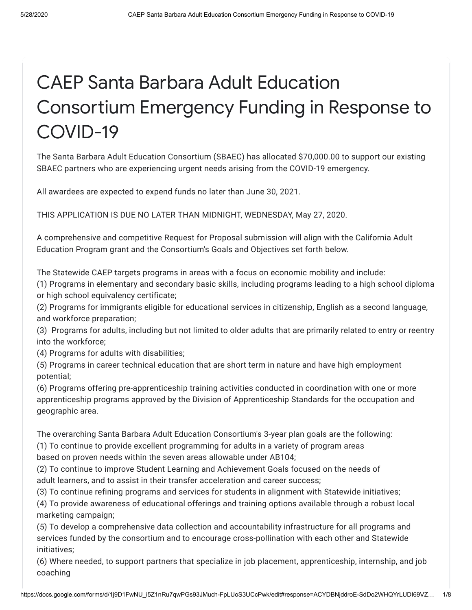# CAEP Santa Barbara Adult Education Consortium Emergency Funding in Response to COVID-19

The Santa Barbara Adult Education Consortium (SBAEC) has allocated \$70,000.00 to support our existing SBAEC partners who are experiencing urgent needs arising from the COVID-19 emergency.

All awardees are expected to expend funds no later than June 30, 2021.

THIS APPLICATION IS DUE NO LATER THAN MIDNIGHT, WEDNESDAY, May 27, 2020.

A comprehensive and competitive Request for Proposal submission will align with the California Adult Education Program grant and the Consortium's Goals and Objectives set forth below.

The Statewide CAEP targets programs in areas with a focus on economic mobility and include:

(1) Programs in elementary and secondary basic skills, including programs leading to a high school diploma or high school equivalency certificate;

(2) Programs for immigrants eligible for educational services in citizenship, English as a second language, and workforce preparation;

(3) Programs for adults, including but not limited to older adults that are primarily related to entry or reentry into the workforce;

(4) Programs for adults with disabilities;

(5) Programs in career technical education that are short term in nature and have high employment potential;

(6) Programs offering pre-apprenticeship training activities conducted in coordination with one or more apprenticeship programs approved by the Division of Apprenticeship Standards for the occupation and geographic area.

The overarching Santa Barbara Adult Education Consortium's 3-year plan goals are the following:

(1) To continue to provide excellent programming for adults in a variety of program areas

based on proven needs within the seven areas allowable under AB104;

(2) To continue to improve Student Learning and Achievement Goals focused on the needs of adult learners, and to assist in their transfer acceleration and career success;

(3) To continue refining programs and services for students in alignment with Statewide initiatives;

(4) To provide awareness of educational offerings and training options available through a robust local marketing campaign;

(5) To develop a comprehensive data collection and accountability infrastructure for all programs and services funded by the consortium and to encourage cross-pollination with each other and Statewide initiatives;

(6) Where needed, to support partners that specialize in job placement, apprenticeship, internship, and job coaching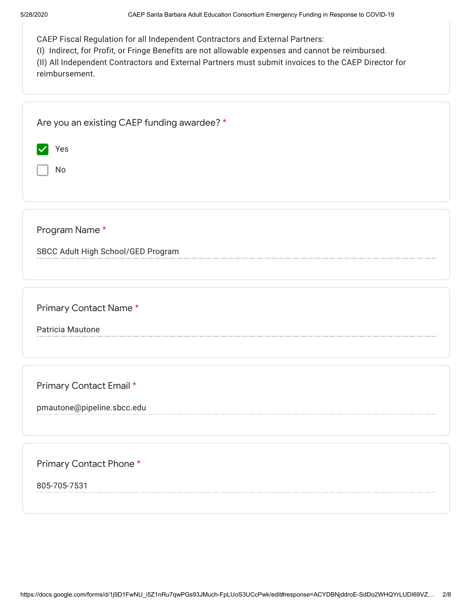CAEP Fiscal Regulation for all Independent Contractors and External Partners:

(I) Indirect, for Profit, or Fringe Benefits are not allowable expenses and cannot be reimbursed.

(II) All Independent Contractors and External Partners must submit invoices to the CAEP Director for reimbursement.

| Are you an existing CAEP funding awardee? * |
|---------------------------------------------|
| $ \bm{\vee} $<br>Yes                        |
| No                                          |
|                                             |
| Program Name*                               |
| SBCC Adult High School/GED Program          |
|                                             |
|                                             |
| Primary Contact Name*                       |
| Patricia Mautone                            |
|                                             |
| Primary Contact Email *                     |
|                                             |
| pmautone@pipeline.sbcc.edu                  |
|                                             |
| Primary Contact Phone*                      |
| 805-705-7531                                |
|                                             |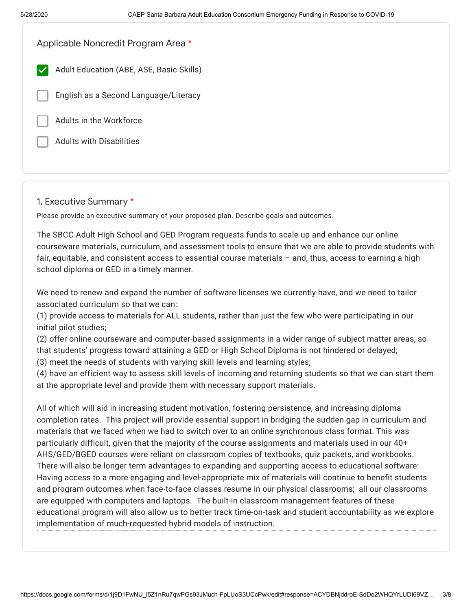| Applicable Noncredit Program Area *             |  |
|-------------------------------------------------|--|
| Adult Education (ABE, ASE, Basic Skills)<br>l V |  |
| English as a Second Language/Literacy           |  |
| Adults in the Workforce                         |  |
| <b>Adults with Disabilities</b>                 |  |
|                                                 |  |

#### 1. Executive Summary \*

Please provide an executive summary of your proposed plan. Describe goals and outcomes.

The SBCC Adult High School and GED Program requests funds to scale up and enhance our online courseware materials, curriculum, and assessment tools to ensure that we are able to provide students with fair, equitable, and consistent access to essential course materials – and, thus, access to earning a high school diploma or GED in a timely manner.

We need to renew and expand the number of software licenses we currently have, and we need to tailor associated curriculum so that we can:

(1) provide access to materials for ALL students, rather than just the few who were participating in our initial pilot studies;

(2) offer online courseware and computer-based assignments in a wider range of subject matter areas, so that students' progress toward attaining a GED or High School Diploma is not hindered or delayed;

(3) meet the needs of students with varying skill levels and learning styles;

(4) have an efficient way to assess skill levels of incoming and returning students so that we can start them at the appropriate level and provide them with necessary support materials.

All of which will aid in increasing student motivation, fostering persistence, and increasing diploma completion rates. This project will provide essential support in bridging the sudden gap in curriculum and materials that we faced when we had to switch over to an online synchronous class format. This was particularly difficult, given that the majority of the course assignments and materials used in our 40+ AHS/GED/BGED courses were reliant on classroom copies of textbooks, quiz packets, and workbooks. There will also be longer term advantages to expanding and supporting access to educational software: Having access to a more engaging and level-appropriate mix of materials will continue to benefit students and program outcomes when face-to-face classes resume in our physical classrooms; all our classrooms are equipped with computers and laptops. The built-in classroom management features of these educational program will also allow us to better track time-on-task and student accountability as we explore implementation of much-requested hybrid models of instruction.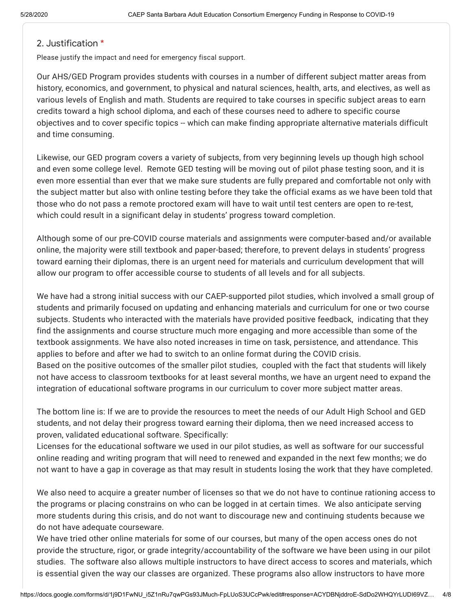### 2. Justification \*

Please justify the impact and need for emergency fiscal support.

Our AHS/GED Program provides students with courses in a number of different subject matter areas from history, economics, and government, to physical and natural sciences, health, arts, and electives, as well as various levels of English and math. Students are required to take courses in specific subject areas to earn credits toward a high school diploma, and each of these courses need to adhere to specific course objectives and to cover specific topics -- which can make finding appropriate alternative materials difficult and time consuming.

Likewise, our GED program covers a variety of subjects, from very beginning levels up though high school and even some college level. Remote GED testing will be moving out of pilot phase testing soon, and it is even more essential than ever that we make sure students are fully prepared and comfortable not only with the subject matter but also with online testing before they take the official exams as we have been told that those who do not pass a remote proctored exam will have to wait until test centers are open to re-test, which could result in a significant delay in students' progress toward completion.

Although some of our pre-COVID course materials and assignments were computer-based and/or available online, the majority were still textbook and paper-based; therefore, to prevent delays in students' progress toward earning their diplomas, there is an urgent need for materials and curriculum development that will allow our program to offer accessible course to students of all levels and for all subjects.

We have had a strong initial success with our CAEP-supported pilot studies, which involved a small group of students and primarily focused on updating and enhancing materials and curriculum for one or two course subjects. Students who interacted with the materials have provided positive feedback, indicating that they find the assignments and course structure much more engaging and more accessible than some of the textbook assignments. We have also noted increases in time on task, persistence, and attendance. This applies to before and after we had to switch to an online format during the COVID crisis. Based on the positive outcomes of the smaller pilot studies, coupled with the fact that students will likely not have access to classroom textbooks for at least several months, we have an urgent need to expand the integration of educational software programs in our curriculum to cover more subject matter areas.

The bottom line is: If we are to provide the resources to meet the needs of our Adult High School and GED students, and not delay their progress toward earning their diploma, then we need increased access to proven, validated educational software. Specifically:

Licenses for the educational software we used in our pilot studies, as well as software for our successful online reading and writing program that will need to renewed and expanded in the next few months; we do not want to have a gap in coverage as that may result in students losing the work that they have completed.

We also need to acquire a greater number of licenses so that we do not have to continue rationing access to the programs or placing constrains on who can be logged in at certain times. We also anticipate serving more students during this crisis, and do not want to discourage new and continuing students because we do not have adequate courseware.

We have tried other online materials for some of our courses, but many of the open access ones do not provide the structure, rigor, or grade integrity/accountability of the software we have been using in our pilot studies. The software also allows multiple instructors to have direct access to scores and materials, which is essential given the way our classes are organized. These programs also allow instructors to have more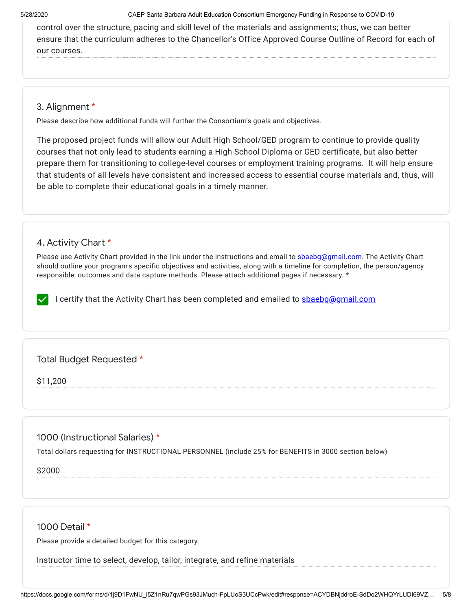5/28/2020 CAEP Santa Barbara Adult Education Consortium Emergency Funding in Response to COVID-19

control over the structure, pacing and skill level of the materials and assignments; thus, we can better ensure that the curriculum adheres to the Chancellor's Office Approved Course Outline of Record for each of our courses.

## 3. Alignment \*

Please describe how additional funds will further the Consortium's goals and objectives.

The proposed project funds will allow our Adult High School/GED program to continue to provide quality courses that not only lead to students earning a High School Diploma or GED certificate, but also better prepare them for transitioning to college-level courses or employment training programs. It will help ensure that students of all levels have consistent and increased access to essential course materials and, thus, will be able to complete their educational goals in a timely manner.

# 4. Activity Chart \*

Please use Activity Chart provided in the link under the instructions and email to [sbaebg@gmail.com](mailto:sbaebg@gmail.com). The Activity Chart should outline your program's specific objectives and activities, along with a timeline for completion, the person/agency responsible, outcomes and data capture methods. Please attach additional pages if necessary. \*

I certify that the Activity Chart has been completed and emailed to **shaebg@gmail.com** 

## Total Budget Requested \*

\$11,200

#### 1000 (Instructional Salaries) \*

Total dollars requesting for INSTRUCTIONAL PERSONNEL (include 25% for BENEFITS in 3000 section below)

\$2000

1000 Detail \*

Please provide a detailed budget for this category.

Instructor time to select, develop, tailor, integrate, and refine materials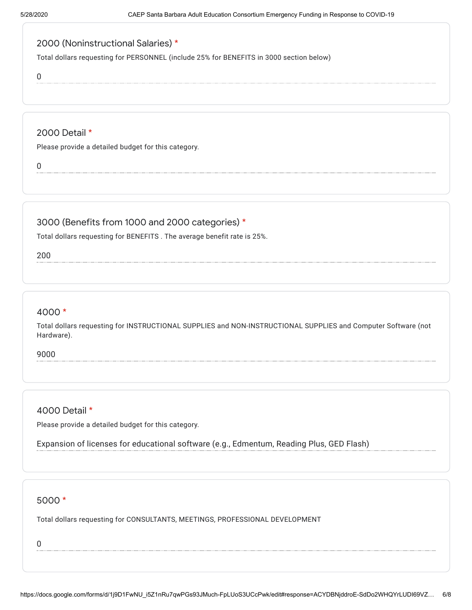## 2000 (Noninstructional Salaries) \*

Total dollars requesting for PERSONNEL (include 25% for BENEFITS in 3000 section below)

0

#### 2000 Detail \*

Please provide a detailed budget for this category.

0

## 3000 (Benefits from 1000 and 2000 categories) \*

Total dollars requesting for BENEFITS . The average benefit rate is 25%.

200

#### 4000 \*

Total dollars requesting for INSTRUCTIONAL SUPPLIES and NON-INSTRUCTIONAL SUPPLIES and Computer Software (not Hardware).

9000

#### 4000 Detail \*

Please provide a detailed budget for this category.

Expansion of licenses for educational software (e.g., Edmentum, Reading Plus, GED Flash)

#### 5000 \*

Total dollars requesting for CONSULTANTS, MEETINGS, PROFESSIONAL DEVELOPMENT

0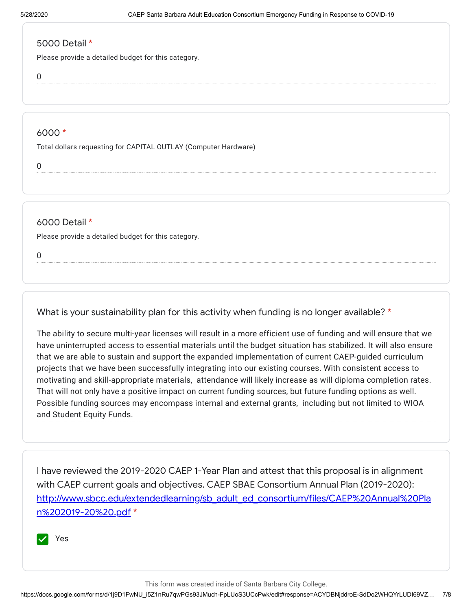# 5000 Detail \*

Please provide a detailed budget for this category.

0

#### 6000 \*

Total dollars requesting for CAPITAL OUTLAY (Computer Hardware)

0

# 6000 Detail \*

Please provide a detailed budget for this category.

0

What is your sustainability plan for this activity when funding is no longer available? \*

The ability to secure multi-year licenses will result in a more efficient use of funding and will ensure that we have uninterrupted access to essential materials until the budget situation has stabilized. It will also ensure that we are able to sustain and support the expanded implementation of current CAEP-guided curriculum projects that we have been successfully integrating into our existing courses. With consistent access to motivating and skill-appropriate materials, attendance will likely increase as will diploma completion rates. That will not only have a positive impact on current funding sources, but future funding options as well. Possible funding sources may encompass internal and external grants, including but not limited to WIOA and Student Equity Funds.

I have reviewed the 2019-2020 CAEP 1-Year Plan and attest that this proposal is in alignment with CAEP current goals and objectives. CAEP SBAE Consortium Annual Plan (2019-2020): [http://www.sbcc.edu/extendedlearning/sb\\_adult\\_ed\\_consortium/files/CAEP%20Annual%20Pla](https://www.google.com/url?q=http://www.sbcc.edu/extendedlearning/sb_adult_ed_consortium/files/CAEP%2520Annual%2520Plan%25202019-20%2520.pdf&sa=D&ust=1590687600732000&usg=AFQjCNFlCYFwXSJOjAG8MdxI_FyQF_Gpeg) n%202019-20%20.pdf \*



This form was created inside of Santa Barbara City College.

https://docs.google.com/forms/d/1j9D1FwNU\_i5Z1nRu7qwPGs93JMuch-FpLUoS3UCcPwk/edit#response=ACYDBNjddroE-SdDo2WHQYrLUDI69VZ… 7/8